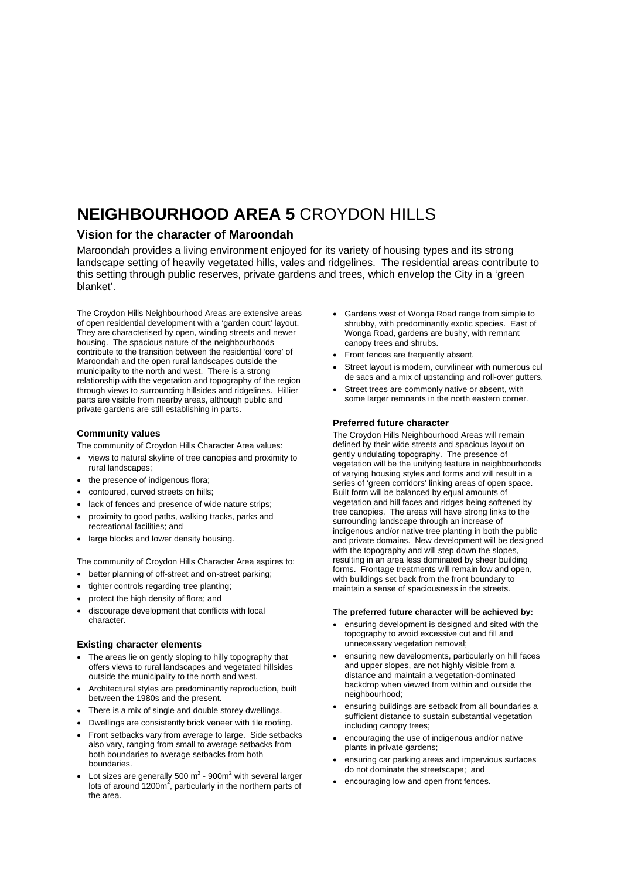## **NEIGHBOURHOOD AREA 5** CROYDON HILLS

### **Vision for the character of Maroondah**

Maroondah provides a living environment enjoyed for its variety of housing types and its strong landscape setting of heavily vegetated hills, vales and ridgelines. The residential areas contribute to this setting through public reserves, private gardens and trees, which envelop the City in a 'green blanket'.

The Croydon Hills Neighbourhood Areas are extensive areas of open residential development with a 'garden court' layout. They are characterised by open, winding streets and newer housing. The spacious nature of the neighbourhoods contribute to the transition between the residential 'core' of Maroondah and the open rural landscapes outside the municipality to the north and west. There is a strong relationship with the vegetation and topography of the region through views to surrounding hillsides and ridgelines. Hillier parts are visible from nearby areas, although public and private gardens are still establishing in parts.

#### **Community values**

The community of Croydon Hills Character Area values:

- views to natural skyline of tree canopies and proximity to rural landscapes;
- the presence of indigenous flora;
- contoured, curved streets on hills;
- lack of fences and presence of wide nature strips;
- proximity to good paths, walking tracks, parks and recreational facilities; and
- large blocks and lower density housing.

The community of Croydon Hills Character Area aspires to:

- better planning of off-street and on-street parking;
- tighter controls regarding tree planting;
- protect the high density of flora; and
- discourage development that conflicts with local character.

#### **Existing character elements**

- The areas lie on gently sloping to hilly topography that offers views to rural landscapes and vegetated hillsides outside the municipality to the north and west.
- Architectural styles are predominantly reproduction, built between the 1980s and the present.
- There is a mix of single and double storey dwellings.
- Dwellings are consistently brick veneer with tile roofing.
- Front setbacks vary from average to large. Side setbacks also vary, ranging from small to average setbacks from both boundaries to average setbacks from both boundaries.
- Lot sizes are generally 500  $m^2$  900 $m^2$  with several larger lots of around  $1200m^2$ , particularly in the northern parts of the area.
- Gardens west of Wonga Road range from simple to shrubby, with predominantly exotic species. East of Wonga Road, gardens are bushy, with remnant canopy trees and shrubs.
- Front fences are frequently absent.
- Street layout is modern, curvilinear with numerous cul de sacs and a mix of upstanding and roll-over gutters.
- Street trees are commonly native or absent, with some larger remnants in the north eastern corner.

#### **Preferred future character**

The Croydon Hills Neighbourhood Areas will remain defined by their wide streets and spacious layout on gently undulating topography. The presence of vegetation will be the unifying feature in neighbourhoods of varying housing styles and forms and will result in a series of 'green corridors' linking areas of open space. Built form will be balanced by equal amounts of vegetation and hill faces and ridges being softened by tree canopies. The areas will have strong links to the surrounding landscape through an increase of indigenous and/or native tree planting in both the public and private domains. New development will be designed with the topography and will step down the slopes, resulting in an area less dominated by sheer building forms. Frontage treatments will remain low and open, with buildings set back from the front boundary to maintain a sense of spaciousness in the streets.

#### **The preferred future character will be achieved by:**

- ensuring development is designed and sited with the topography to avoid excessive cut and fill and unnecessary vegetation removal;
- ensuring new developments, particularly on hill faces and upper slopes, are not highly visible from a distance and maintain a vegetation-dominated backdrop when viewed from within and outside the neighbourhood;
- ensuring buildings are setback from all boundaries a sufficient distance to sustain substantial vegetation including canopy trees;
- encouraging the use of indigenous and/or native plants in private gardens;
- ensuring car parking areas and impervious surfaces do not dominate the streetscape; and
- encouraging low and open front fences.